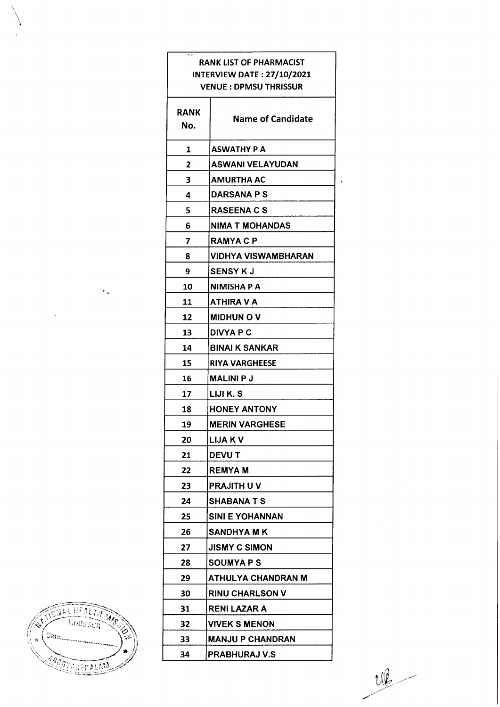|             | <b>RANK LIST OF PHARMACIST</b><br><b>INTERVIEW DATE: 27/10/2021</b> |
|-------------|---------------------------------------------------------------------|
|             | <b>VENUE : DPMSU THRISSUR</b>                                       |
| RANK<br>No. | <b>Name of Candidate</b>                                            |
| 1           | ASWATHY P A                                                         |
| 2           | <b>ASWANI VELAYUDAN</b>                                             |
| 3           | <b>AMURTHA AC</b>                                                   |
| 4           | <b>DARSANA P S</b>                                                  |
| 5           | <b>RASEENA C S</b>                                                  |
| 6           | NIMA T MOHANDAS                                                     |
| 7           | <b>RAMYACP</b>                                                      |
| 8           | VIDHYA VISWAMBHARAN                                                 |
| 9           | <b>SENSY K J</b>                                                    |
| 10          | NIMISHA P A                                                         |
| 11          | ATHIRA V A                                                          |
| 12          | <b>MIDHUN O V</b>                                                   |
| 13          | <b>DIVYA P C</b>                                                    |
| 14          | <b>BINAI K SANKAR</b>                                               |
| 15          | RIYA VARGHEESE                                                      |
| 16          | <b>MALINI P J</b>                                                   |
| 17          | LIJI K. S                                                           |
| 18          | <b>HONEY ANTONY</b>                                                 |
| 19          | <b>MERIN VARGHESE</b>                                               |
| 20          | <b>LIJA K V</b>                                                     |
| 21          | DEVU T                                                              |
| 22          | <b>REMYA M</b>                                                      |
| 23          | PRAJITH U V                                                         |
| 24          | <b>SHABANA T S</b>                                                  |
| 25          | SINI E YOHANNAN                                                     |
| 26          | SANDHYA M K                                                         |
| 27          | <b>JISMY C SIMON</b>                                                |
| 28          | <b>SOUMYA P S</b>                                                   |
| 29          | ATHULYA CHANDRAN M                                                  |
| 30          | <b>RINU CHARLSON V</b>                                              |
| 31          | RENI LAZAR A                                                        |
| 32          | <b>VIVEK S MENON</b>                                                |
| 33          | MANJU P CHANDRAN                                                    |
| 34          | <b>PRABHURAJ V.S</b>                                                |

 $\mathcal{L}$ 

TICTURE HEALTH MAG A. j. **AROGYAKERALAM** 

 $\mathcal{O}_{\mathbf{F}_{\mathbf{A}}}$ 

 $\sim$ 

 $\frac{10}{2}$